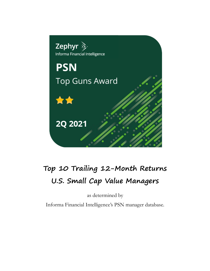

# **Top 10 Trailing 12-Month Returns U.S. Small Cap Value Managers**

as determined by

Informa Financial Intelligence's PSN manager database.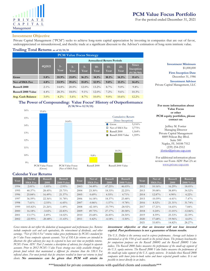

For the period ended December 31, 2021

## **Investment Objective**

Private Capital Management ("PCM") seeks to achieve long-term capital appreciation by investing in companies that are out of favor, underappreciated or misunderstood, and thereby trade at a significant discount to the Adviser's estimation of long-term intrinsic value.

# **Trailing Total Returns as of 12/31/21**

| <b>PCM Value Focus Strategy</b> |         |            |                                  |              |               |                |                |                                 |  |  |
|---------------------------------|---------|------------|----------------------------------|--------------|---------------|----------------|----------------|---------------------------------|--|--|
|                                 |         |            | <b>Annualized Return Periods</b> |              |               |                |                |                                 |  |  |
|                                 | 4Q2021  | VЬ<br>Year | $3-$<br>Year                     | $5-$<br>Year | $10-$<br>Year | $15 -$<br>Year | $25 -$<br>Year | Since<br>Inception<br>(9/30/94) |  |  |
| Gross                           | 5.8%    | 35.9%      | 21.0%                            | 16.2%        | 14.1%         | 10.1%          | 14.3%          | 15.6%                           |  |  |
| Net of SMA Fee                  | 4.8%    | 33.9%      | 19.6%                            | $15.0\%$     | 12.9%         | $9.0\%$        | 13.1%          | 14.4%                           |  |  |
| <b>Russell 2000</b>             | $2.1\%$ | 14.8%      | $20.0\%$                         | $12.0\%$     | $13.2\%$      | $8.7\%$        | $9.0\%$        | $9.8\%$                         |  |  |
| <b>Russell 2000 Value</b>       | $4.4\%$ | 28.3%      | $18.0\%$                         | $9.1\%$      | $12.0\%$      | 7.2%           | $9.6\%$        | 10.3%                           |  |  |
| <b>Avg. Cash Balance</b>        | $3.0\%$ | $4.2\%$    | $5.6\%$                          | $8.7\%$      | $10.0\%$      | $9.0\%$        | $10.6\%$       | $12.2\%$                        |  |  |

**Investment Minimum** \$1,000,000 **Firm Inception Date** December 31, 1986

**Investment Advisor** Private Capital Management, LLC

#### **The Power of Compounding: Value Focus' History of Outperformance (9/30/94 to 12/31/21)**



**For more information about Value Focus or other PCM equity portfolios, please contact us:**

Jeffrey M. Fortier Managing Director Private Capital Management 8889 Pelican Bay Blvd. Suite 500 Naples, FL 34108-7512 (239) 254-2512 [jfortier@private-cap.com](mailto:information@private-cap.com)

For additional information please review our Form ADV Part 2A at: [www.private-cap.com](http://www.private-cap.com/)

# **Calendar Year Returns**

| Year | Net of<br><b>SMA Fee</b> | Russell<br>2000 | Russell<br>2000 Value | Year | Net of<br><b>SMA</b> Fee | <b>Russell</b><br>2000 | Russell<br>2000 Value | Year | Net of<br><b>SMA Fee</b> | Russell<br>2000 | Russell<br>2000 Value |
|------|--------------------------|-----------------|-----------------------|------|--------------------------|------------------------|-----------------------|------|--------------------------|-----------------|-----------------------|
| 1994 | $2.01\%$                 | $-1.85%$        | $-2.95%$              | 2003 | 34.49%                   | 47.25%                 | 46.03%                | 2012 | 10.16%                   | $16.29\%$       | 18.05%                |
| 1995 | $40.37\%$                | 28.45%          | 25.75%                | 2004 | 23.30%                   | 18.33%                 | 22.25%                | 2013 | 39.08%                   | 38.89%          | 34.52%                |
| 1996 | 25.84%                   | 16.49%          | 21.37%                | 2005 | $0.69\%$                 | $4.55\%$               | 4.71%                 | 2014 | 12.87%                   | $4.90\%$        | $4.22\%$              |
| 1997 | $36.59\%$                | 22.36%          | 31.78%                | 2006 | 16.18%                   | 18.37%                 | 23.48%                | 2015 | $-10.59%$                | $-4.41%$        | $-7.47%$              |
| 1998 | 7.61%                    | $-2.55%$        | $-6.45%$              | 2007 | $-0.86%$                 | $-1.57\%$              | $-9.78%$              | 2016 | 8.52%                    | 21.31%          | 31.74%                |
| 1999 | 103.82%                  | 21.26%          | $-1.49%$              | 2008 | $-42.18%$                | $-33.79%$              | $-28.92%$             | 2017 | 17.21%                   | 14.65%          | 7.84%                 |
| 2000 | 16.18%                   | $-3.02%$        | 22.83%                | 2009 | 49.73%                   | 27.17%                 | 20.58%                | 2018 | $0.24\%$                 | $-11.01\%$      | $-12.86%$             |
| 2001 | 13.17%                   | 2.49%           | 14.02%                | 2010 | 25.68%                   | 26.85%                 | 24.50%                | 2019 | 8.59%                    | 25.53%          | 22.39%                |
| 2002 | $-22.95%$                | $-20.48%$       | $-11.43%$             | 2011 | 0.42%                    | $-4.18%$               | $-5.50%$              | 2020 | 17.68%                   | $19.96\%$       | 4.63%                 |
|      |                          |                 |                       |      |                          |                        |                       | 2021 | 33.85%                   | 14.82%          | 28 27%                |

*Gross returns do not reflect the deduction of management and performance fees. Returns include composite cash and cash equivalents, the reinvestment of dividends, and other earnings. "Net of SMA Fee" returns reduce gross performance by PCM's standard fee for Value Focus composite separate accounts. Net of SMA fee returns are intended to illustrate the effect advisory fees may be expected to have over time on portfolio returns.*  PCM's Form ADV Part 2 contains a description of advisory fees charged to separate *accounts. Prior to 2012 PCM's Value Focus strategy was solely available through a private fund vehicle that maintained a different fee structure than the SMA Fee reflected above. For most periods that fee structure resulted in lower net returns to fund clients.* **No assurances can be given that PCM will attain its** 

#### **investment objective or that an investor will not lose invested capital. Past performance is not a guarantee of future results.**

*The U.S. Dollar is the currency used to express performance. Average cash balance is determined as of the 15th of each month in the period shown. The primary benchmarks for comparison purposes are the Russell 2000© and the Russell 2000© Value indices. The Russell 2000 Index measures the performance of the small-cap segment of the U.S. equity universe. The Russell 2000 Value Index measures the performance of the small-cap value segment of the U.S. equity universe. It includes those Russell 2000*  companies with lower price-to-book ratios and lower expected growth values. It is not *possible to invest directly in an index.* 

\*\*\*Intended for private communications with qualified clients and consultants\*\*\*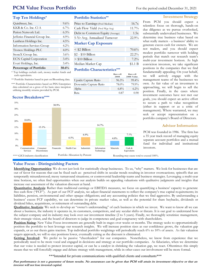# **PCM Value Focus Portfolio** For the period ended December 31, 2021

# **Top Ten Holdings\* Portfolio Statistics\*\***

| QuinStreet, Inc.                  | $9.6\%$ |
|-----------------------------------|---------|
| KKR & Co. Inc. Cl A               | $6.7\%$ |
| Perion Network Ltd.               | $6.3\%$ |
| Jefferies Financial Group Inc.    | $4.9\%$ |
| Lantheus Holdings Inc.            | $4.5\%$ |
| <b>Information Services Group</b> | $4.2\%$ |
| Tronox Holdings PLC               | 4.0%    |
| StoneX Group Inc.                 | 3.6%    |
| <b>ECN Capital Corporation</b>    | $3.4\%$ |
| Everi Holdings, Inc.              | $3.4\%$ |
| <b>Percentage of Portfolio</b>    | 50.6%   |

\* Top holdings exclude cash, money market funds and cash equivalents.

\*\* Portfolio Statistics based in part on Bloomberg data.

\*\*\* Portfolio Characteristics based on PSN Enterprises data calculated on a gross of fee basis since inception utilizing monthly returns provided by PCM.

# **Sector Breakdown\*\*\*\***



| Price to Earnings (Fwd Median)  | 16.7x    |
|---------------------------------|----------|
| Cash Flow Yield (Fwd Wgt Avg)   | $11.7\%$ |
| Debt to Common Equity (Average) | 1.5x     |
| 5-Yr Avg. Annualized Turnover   | 22.9%    |

#### **Market Cap Exposure**

| $<$ \$2 Billion    | 70.6%    |
|--------------------|----------|
| $$2 - $10$ Billion | $22.2\%$ |
| $> $10$ Billion    | $7.2\%$  |
| Median Market Cap  | \$1.1 B  |
|                    |          |

## **Portfolio Characteristics\*\*\***

|                        | Russell<br>2000 | Russell<br>2000 Value |
|------------------------|-----------------|-----------------------|
| Upside Capture Ratio   | $96.3\%$        | $99.4\%$              |
| Downside Capture Ratio | 78.0%           | 79.9%                 |
| Alpha                  | $6.8\%$         | $6.2\%$               |
| Beta                   | 0.87            | 0.90                  |



#### **Investment Strategy**

From PCM you should expect a relentless focus on thorough, hands-on due diligence as we pursue overlooked, substantially undervalued businesses. We determine true business value based on what really matters - a business' ability to generate excess cash for owners. We are not traders, and you should expect modest portfolio turnover with holding periods that match our research team's multi-year investment horizon. As high conviction investors, we take significant positions in the companies that we find fundamentally appealing. On your behalf, we will actively engage with the management teams of the businesses we own. As fair value of an investment is approaching, we will begin to sell the position. Finally, in the cases where investment outcomes have not met our goals, you should expect an active effort to secure a path to value recognition (either in support or as a critic of management). Where warranted, we may seek or accept representation on a portfolio company's Board of Directors.

# **Advisor Information**

PCM was founded in 1986. The firm has a 35 year track record of managing equity separate account portfolios and a mutual fund for individual and institutional investors.

# **Value Focus - Distinguishing Factors**

**Identifying Opportunities**: We do not just look for statistically cheap businesses. To us, "why" matters. We look for businesses that are out of favor for reasons that can be fixed such as: perceived shifts in secular trends resulting in investor overreactions; spinoffs that are temporarily misunderstood; messy turnaround situations; or controversial leadership teams and business strategies. Leveraging a multi-year time horizon, we often find opportunities when our analysis builds on appealing valuations with qualitative judgments and insights that increase our assessment of the valuation discount at hand.

**Quantitative Analysis**: Rather than traditional earnings or EBITDA measures, we focus on quantifying a business' capacity to generate free cash flow ("FCF"). As part of our FCF analysis, we adjust financial statements to reflect the company's true capital requirements; its liabilities, pension, environmental and other opaque obligations; and any accounting policies that we find aggressive. By understanding a business' excess FCF capability, we can determine its private market value, as well as the potential for share buybacks, dividends or dividend hikes, acquisitions, or retirement of outstanding debt.

**Qualitative Analysis**: We seek to develop an "owner's understanding" of each business in which we invest. We want to know all we can about a business, the industry it operates in, its customers, competitors, and any secular shifts or threats. It is our goal to understand how the subject company and its industry may look over our investment timeline (2 to 5 years). Finally, we thoroughly scrutinize management, their strategic vision, and the board of directors to judge its competence and goal congruency with shareholders.

**Position Sizing**: New Value Focus investments are generally built in stages over weeks or months. The strategy seeks to opportunistically position the portfolio to best leverage our research insights. We will increase position sizes as our confidence grows, the valuation gap expands, or as our thesis gains traction. Top individual portfolio weightings will periodically reach 6% to 10% of assets. As fair valuation targets approach, we will re-size positions lower, eventually exiting as the discount is eliminated.

**Getting Involved**: We prefer to be passive "cheerleaders" for our companies. Nonetheless, we know from experience that we periodically need to be more vocal and engaged in decisions and strategy at our portfolio companies. As fiduciaries, when we determine that our voice is needed to protect investor capital, or can be a catalyst in shrinking the valuation gap, we react. Oftentimes this simply means that we will forcefully engage and debate strategy with management, while in other cases our involvement will be more formal.

\*\*\*Intended for private communications with qualified clients and consultants\*\*\*

Past performance is not a guarantee of future results. No assurances can be given that PCM will attain its investment objective or that an **investor will not lose invested capital.**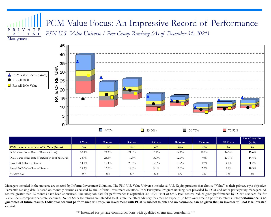# P R I V A T E PCM Value Focus: An Impressive Record of Performance

Management

C A P I T A L



*PSN U.S. Value Universe / Peer Group Ranking (As of December 31, 2021)*

|                                                 | 1 Year   | 2 Years  | 3 Years  | 5 Years  | 10 Years | 15 Years | 25 Years | Since Inception<br>(9/94) |
|-------------------------------------------------|----------|----------|----------|----------|----------|----------|----------|---------------------------|
| <b>PCM Value Focus Percentile Rank (Gross)</b>  | 5th      | 1st      | 31st     | 6th      | 34th     | 23rd     | 1st      | 1st                       |
| PCM Value Focus Rate of Return (Gross)          | $35.9\%$ | $27.2\%$ | $21.0\%$ | $16.2\%$ | $14.1\%$ | $10.1\%$ | $14.3\%$ | $15.6\%$                  |
| PCM Value Focus Rate of Return (Net of SMA Fee) | 33.9%    | 25.6%    | $19.6\%$ | $15.0\%$ | $12.9\%$ | $9.0\%$  | $13.1\%$ | 14.4%                     |
| Russell 2000 Rate of Return                     | $14.8\%$ | $17.4\%$ | $20.0\%$ | $12.0\%$ | $13.2\%$ | $8.7\%$  | $9.0\%$  | 9.8%                      |
| Russell 2000 Value Rate of Return               | 28.3%    | $15.9\%$ | $18.0\%$ | $9.1\%$  | $12.0\%$ | $7.2\%$  | $9.6\%$  | $10.3\%$                  |
| $\#$ Return Sets                                | 584      | 580      | 577      | 563      | 492      | 389      | 144      | 92                        |

Managers included in the universe are selected by Informa Investment Solutions. The PSN U.S. Value Universe includes all U.S. Equity products that choose "Value" as their primary style objective. Percentile ranking data is based on monthly returns calculated by the Informa Investment Solutions PSN Enterprise Program utilizing data provided by PCM and other participating managers. All returns greater than 12 months have been annualized. The inception date for performance is September 30, 1994. "Net of SMA Fee" returns reduce gross performance by PCM's standard fee for Value Focus composite separate accounts. Net of SMA fee returns are intended to illustrate the effect advisory fees may be expected to have over time on portfolio returns. **Past performance is no** guarantee of future results. Individual account performance will vary. An investment with PCM is subject to risk and no assurance can be given that an investor will not lose invested **capital.**

\*\*\*Intended for private communications with qualified clients and consultants\*\*\*